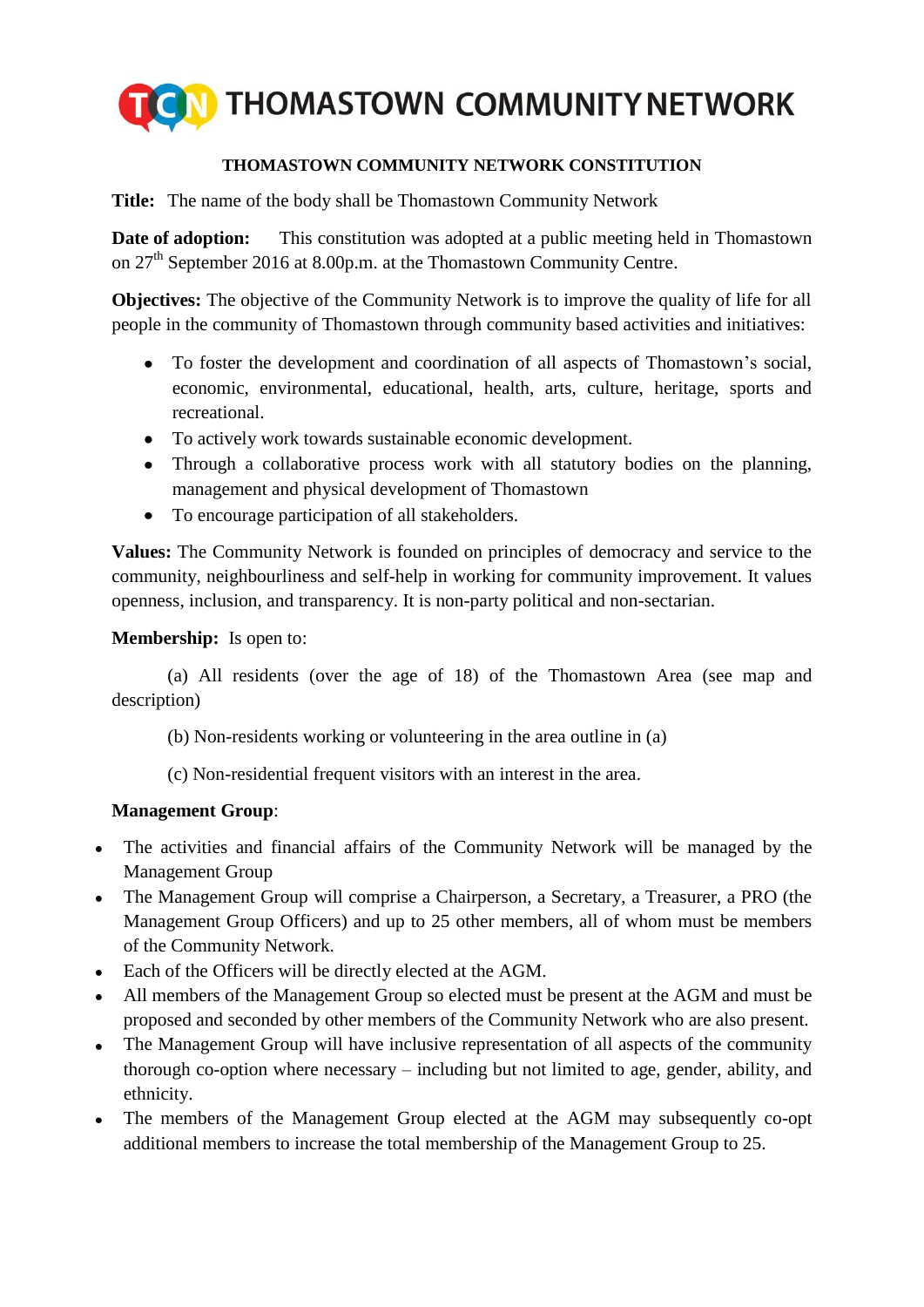

## **THOMASTOWN COMMUNITY NETWORK CONSTITUTION**

**Title:** The name of the body shall be Thomastown Community Network

**Date of adoption:** This constitution was adopted at a public meeting held in Thomastown on 27<sup>th</sup> September 2016 at 8.00p.m. at the Thomastown Community Centre.

**Objectives:** The objective of the Community Network is to improve the quality of life for all people in the community of Thomastown through community based activities and initiatives:

- To foster the development and coordination of all aspects of Thomastown's social,  $\bullet$ economic, environmental, educational, health, arts, culture, heritage, sports and recreational.
- To actively work towards sustainable economic development.
- $\bullet$ Through a collaborative process work with all statutory bodies on the planning, management and physical development of Thomastown
- To encourage participation of all stakeholders.

**Values:** The Community Network is founded on principles of democracy and service to the community, neighbourliness and self-help in working for community improvement. It values openness, inclusion, and transparency. It is non-party political and non-sectarian.

#### **Membership:** Is open to:

(a) All residents (over the age of 18) of the Thomastown Area (see map and description)

- (b) Non-residents working or volunteering in the area outline in (a)
- (c) Non-residential frequent visitors with an interest in the area.

### **Management Group**:

- The activities and financial affairs of the Community Network will be managed by the  $\bullet$ Management Group
- The Management Group will comprise a Chairperson, a Secretary, a Treasurer, a PRO (the Management Group Officers) and up to 25 other members, all of whom must be members of the Community Network.
- Each of the Officers will be directly elected at the AGM.
- All members of the Management Group so elected must be present at the AGM and must be proposed and seconded by other members of the Community Network who are also present.
- The Management Group will have inclusive representation of all aspects of the community thorough co-option where necessary – including but not limited to age, gender, ability, and ethnicity.
- The members of the Management Group elected at the AGM may subsequently co-opt additional members to increase the total membership of the Management Group to 25.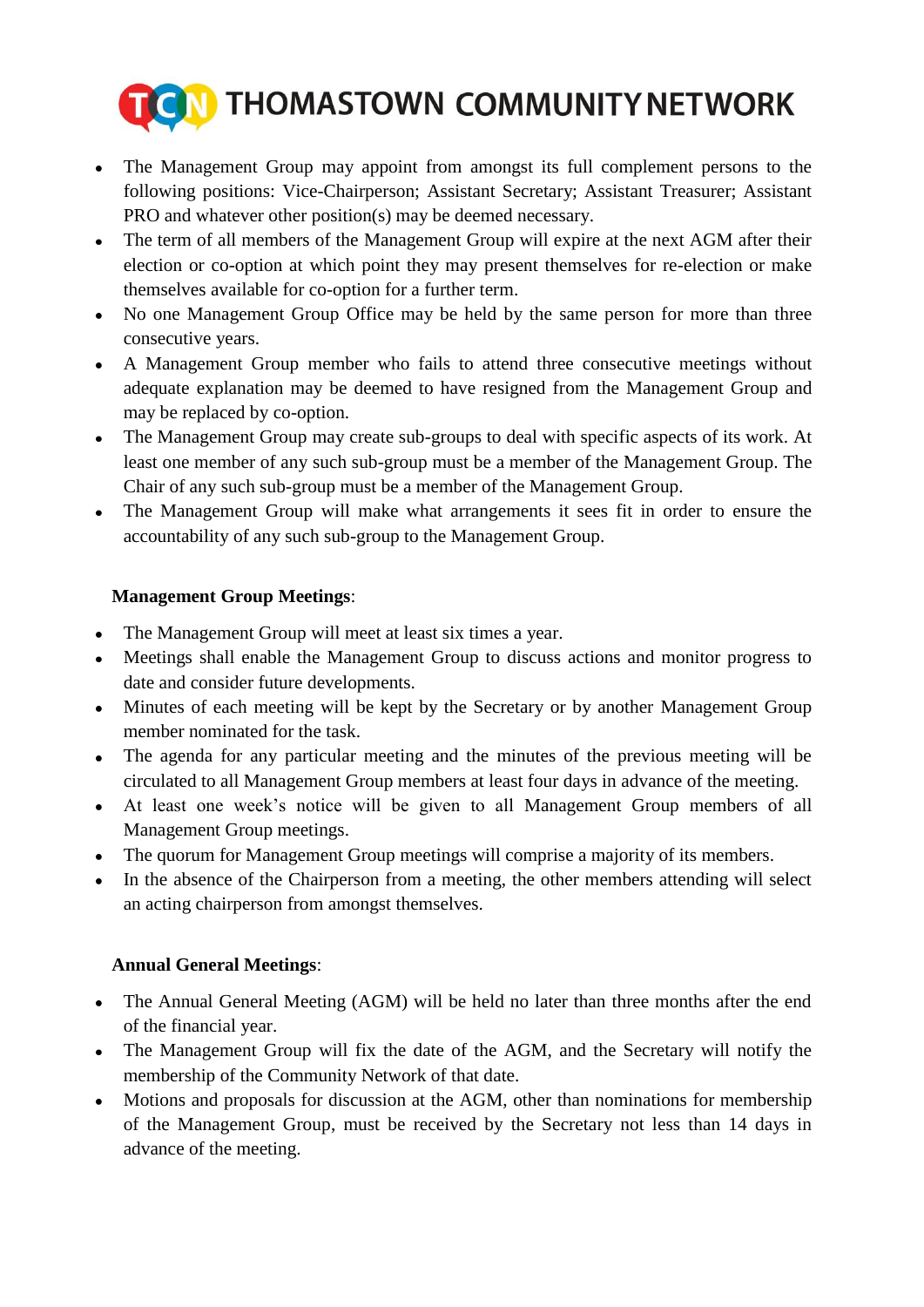

- The Management Group may appoint from amongst its full complement persons to the  $\bullet$ following positions: Vice-Chairperson; Assistant Secretary; Assistant Treasurer; Assistant PRO and whatever other position(s) may be deemed necessary.
- The term of all members of the Management Group will expire at the next AGM after their  $\bullet$ election or co-option at which point they may present themselves for re-election or make themselves available for co-option for a further term.
- No one Management Group Office may be held by the same person for more than three consecutive years.
- A Management Group member who fails to attend three consecutive meetings without  $\bullet$ adequate explanation may be deemed to have resigned from the Management Group and may be replaced by co-option.
- The Management Group may create sub-groups to deal with specific aspects of its work. At  $\bullet$ least one member of any such sub-group must be a member of the Management Group. The Chair of any such sub-group must be a member of the Management Group.
- The Management Group will make what arrangements it sees fit in order to ensure the  $\bullet$ accountability of any such sub-group to the Management Group.

## **Management Group Meetings**:

- The Management Group will meet at least six times a year.  $\bullet$
- Meetings shall enable the Management Group to discuss actions and monitor progress to  $\bullet$ date and consider future developments.
- Minutes of each meeting will be kept by the Secretary or by another Management Group  $\bullet$ member nominated for the task.
- The agenda for any particular meeting and the minutes of the previous meeting will be  $\bullet$ circulated to all Management Group members at least four days in advance of the meeting.
- At least one week's notice will be given to all Management Group members of all  $\bullet$ Management Group meetings.
- The quorum for Management Group meetings will comprise a majority of its members.
- In the absence of the Chairperson from a meeting, the other members attending will select an acting chairperson from amongst themselves.

### **Annual General Meetings**:

- The Annual General Meeting (AGM) will be held no later than three months after the end of the financial year.
- The Management Group will fix the date of the AGM, and the Secretary will notify the membership of the Community Network of that date.
- Motions and proposals for discussion at the AGM, other than nominations for membership  $\bullet$ of the Management Group, must be received by the Secretary not less than 14 days in advance of the meeting.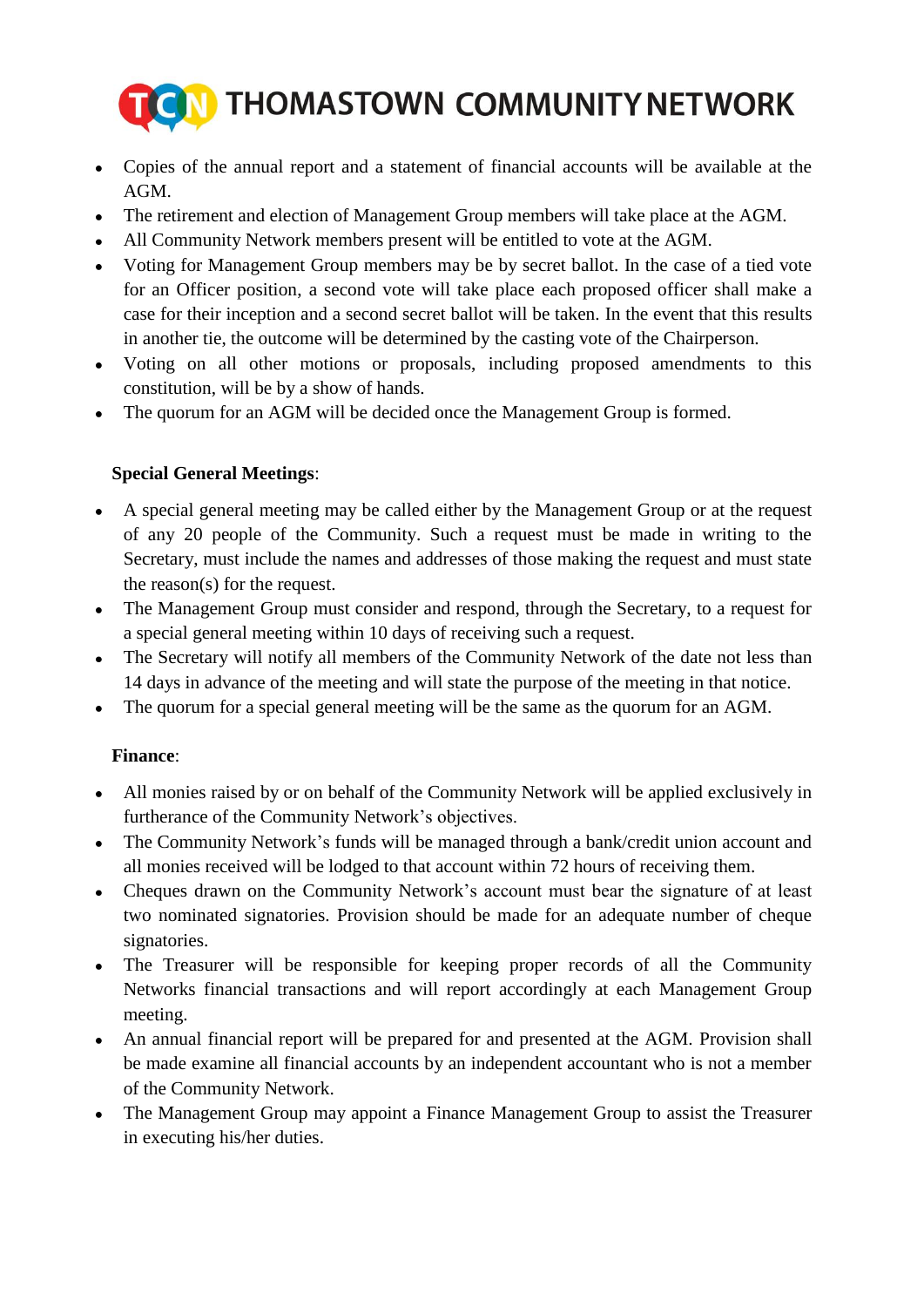

- Copies of the annual report and a statement of financial accounts will be available at the AGM.
- The retirement and election of Management Group members will take place at the AGM.  $\bullet$
- All Community Network members present will be entitled to vote at the AGM.
- Voting for Management Group members may be by secret ballot. In the case of a tied vote for an Officer position, a second vote will take place each proposed officer shall make a case for their inception and a second secret ballot will be taken. In the event that this results in another tie, the outcome will be determined by the casting vote of the Chairperson.
- Voting on all other motions or proposals, including proposed amendments to this constitution, will be by a show of hands.
- The quorum for an AGM will be decided once the Management Group is formed.

# **Special General Meetings**:

- A special general meeting may be called either by the Management Group or at the request of any 20 people of the Community. Such a request must be made in writing to the Secretary, must include the names and addresses of those making the request and must state the reason(s) for the request.
- The Management Group must consider and respond, through the Secretary, to a request for a special general meeting within 10 days of receiving such a request.
- The Secretary will notify all members of the Community Network of the date not less than  $\bullet$ 14 days in advance of the meeting and will state the purpose of the meeting in that notice.
- The quorum for a special general meeting will be the same as the quorum for an AGM.

# **Finance**:

- All monies raised by or on behalf of the Community Network will be applied exclusively in  $\bullet$ furtherance of the Community Network's objectives.
- The Community Network's funds will be managed through a bank/credit union account and  $\bullet$ all monies received will be lodged to that account within 72 hours of receiving them.
- Cheques drawn on the Community Network's account must bear the signature of at least  $\bullet$ two nominated signatories. Provision should be made for an adequate number of cheque signatories.
- The Treasurer will be responsible for keeping proper records of all the Community  $\bullet$ Networks financial transactions and will report accordingly at each Management Group meeting.
- An annual financial report will be prepared for and presented at the AGM. Provision shall be made examine all financial accounts by an independent accountant who is not a member of the Community Network.
- The Management Group may appoint a Finance Management Group to assist the Treasurer in executing his/her duties.